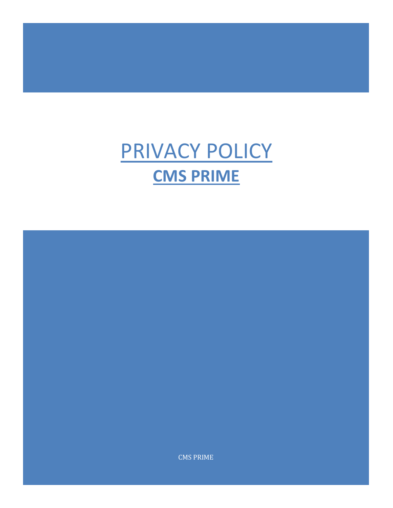## PRIVACY POLICY **CMS PRIME**

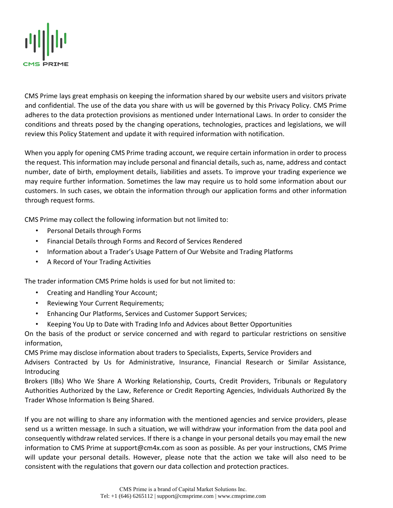

CMS Prime lays great emphasis on keeping the information shared by our website users and visitors private and confidential. The use of the data you share with us will be governed by this Privacy Policy. CMS Prime adheres to the data protection provisions as mentioned under International Laws. In order to consider the conditions and threats posed by the changing operations, technologies, practices and legislations, we will review this Policy Statement and update it with required information with notification.

When you apply for opening CMS Prime trading account, we require certain information in order to process the request. This information may include personal and financial details, such as, name, address and contact number, date of birth, employment details, liabilities and assets. To improve your trading experience we may require further information. Sometimes the law may require us to hold some information about our customers. In such cases, we obtain the information through our application forms and other information through request forms.

CMS Prime may collect the following information but not limited to:

- Personal Details through Forms
- Financial Details through Forms and Record of Services Rendered
- Information about a Trader's Usage Pattern of Our Website and Trading Platforms
- A Record of Your Trading Activities

The trader information CMS Prime holds is used for but not limited to:

- Creating and Handling Your Account;
- Reviewing Your Current Requirements;
- Enhancing Our Platforms, Services and Customer Support Services;
- Keeping You Up to Date with Trading Info and Advices about Better Opportunities

On the basis of the product or service concerned and with regard to particular restrictions on sensitive information,

CMS Prime may disclose information about traders to Specialists, Experts, Service Providers and Advisers Contracted by Us for Administrative, Insurance, Financial Research or Similar Assistance, Introducing

Brokers (IBs) Who We Share A Working Relationship, Courts, Credit Providers, Tribunals or Regulatory Authorities Authorized by the Law, Reference or Credit Reporting Agencies, Individuals Authorized By the Trader Whose Information Is Being Shared.

If you are not willing to share any information with the mentioned agencies and service providers, please send us a written message. In such a situation, we will withdraw your information from the data pool and consequently withdraw related services. If there is a change in your personal details you may email the new information to CMS Prime at support@cm4x.com as soon as possible. As per your instructions, CMS Prime will update your personal details. However, please note that the action we take will also need to be consistent with the regulations that govern our data collection and protection practices.